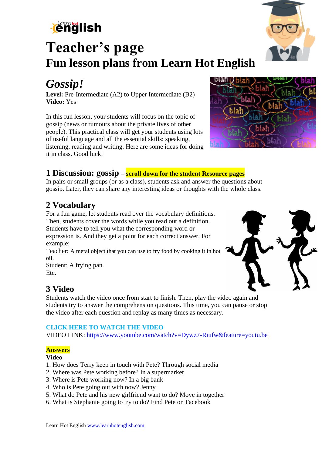

# **Teacher's page Fun lesson plans from Learn Hot English**

## *Gossip!*

**Level:** Pre-Intermediate (A2) to Upper Intermediate (B2) **Video:** Yes

In this fun lesson, your students will focus on the topic of gossip (news or rumours about the private lives of other people). This practical class will get your students using lots of useful language and all the essential skills: speaking, listening, reading and writing. Here are some ideas for doing it in class. Good luck!



### **1 Discussion: gossip – scroll down for the student Resource pages**

In pairs or small groups (or as a class), students ask and answer the questions about gossip. Later, they can share any interesting ideas or thoughts with the whole class.

### **2 Vocabulary**

For a fun game, let students read over the vocabulary definitions. Then, students cover the words while you read out a definition. Students have to tell you what the corresponding word or expression is. And they get a point for each correct answer. For example:

Teacher: A metal object that you can use to fry food by cooking it in hot oil.

Student: A frying pan. Etc.

### **3 Video**

Students watch the video once from start to finish. Then, play the video again and students try to answer the comprehension questions. This time, you can pause or stop the video after each question and replay as many times as necessary.

#### **CLICK HERE TO WATCH THE VIDEO**

VIDEO LINK:<https://www.youtube.com/watch?v=Dywz7-Riufw&feature=youtu.be>

#### **Answers**

#### **Video**

- 1. How does Terry keep in touch with Pete? Through social media
- 2. Where was Pete working before? In a supermarket
- 3. Where is Pete working now? In a big bank
- 4. Who is Pete going out with now? Jenny
- 5. What do Pete and his new girlfriend want to do? Move in together
- 6. What is Stephanie going to try to do? Find Pete on Facebook



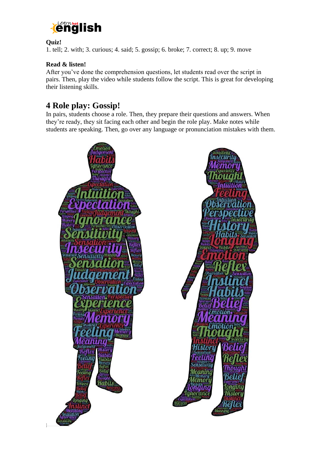

#### **Quiz!**

1. tell; 2. with; 3. curious; 4. said; 5. gossip; 6. broke; 7. correct; 8. up; 9. move

#### **Read & listen!**

After you've done the comprehension questions, let students read over the script in pairs. Then, play the video while students follow the script. This is great for developing their listening skills.

### **4 Role play: Gossip!**

In pairs, students choose a role. Then, they prepare their questions and answers. When they're ready, they sit facing each other and begin the role play. Make notes while students are speaking. Then, go over any language or pronunciation mistakes with them.

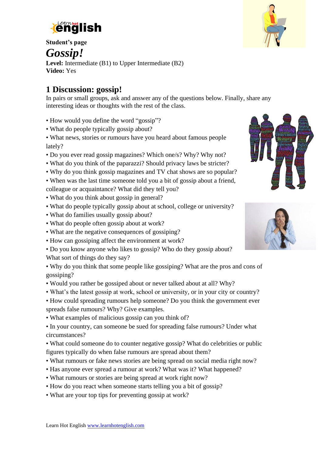

**Student's page** 

*Gossip!*

**Level:** Intermediate (B1) to Upper Intermediate (B2) **Video:** Yes

### **1 Discussion: gossip!**

In pairs or small groups, ask and answer any of the questions below. Finally, share any interesting ideas or thoughts with the rest of the class.

- How would you define the word "gossip"?
- What do people typically gossip about?
- What news, stories or rumours have you heard about famous people lately?
- Do you ever read gossip magazines? Which one/s? Why? Why not?
- What do you think of the paparazzi? Should privacy laws be stricter?
- Why do you think gossip magazines and TV chat shows are so popular?
- When was the last time someone told you a bit of gossip about a friend, colleague or acquaintance? What did they tell you?
- What do you think about gossip in general?
- What do people typically gossip about at school, college or university?
- What do families usually gossip about?
- What do people often gossip about at work?
- What are the negative consequences of gossiping?
- How can gossiping affect the environment at work?
- Do you know anyone who likes to gossip? Who do they gossip about? What sort of things do they say?

• Why do you think that some people like gossiping? What are the pros and cons of gossiping?

- Would you rather be gossiped about or never talked about at all? Why?
- What's the latest gossip at work, school or university, or in your city or country?

• How could spreading rumours help someone? Do you think the government ever spreads false rumours? Why? Give examples.

• What examples of malicious gossip can you think of?

• In your country, can someone be sued for spreading false rumours? Under what circumstances?

• What could someone do to counter negative gossip? What do celebrities or public figures typically do when false rumours are spread about them?

- What rumours or fake news stories are being spread on social media right now?
- Has anyone ever spread a rumour at work? What was it? What happened?
- What rumours or stories are being spread at work right now?
- How do you react when someone starts telling you a bit of gossip?
- What are your top tips for preventing gossip at work?



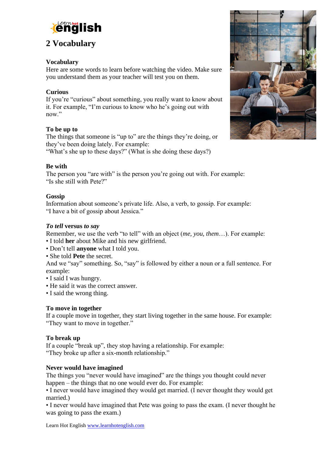

### **2 Vocabulary**

#### **Vocabulary**

Here are some words to learn before watching the video. Make sure you understand them as your teacher will test you on them.

#### **Curious**

If you're "curious" about something, you really want to know about it. For example, "I'm curious to know who he's going out with now."

#### **To be up to**

The things that someone is "up to" are the things they're doing, or they've been doing lately. For example:

"What's she up to these days?" (What is she doing these days?)

#### **Be with**

The person you "are with" is the person you're going out with. For example: "Is she still with Pete?"

#### **Gossip**

Information about someone's private life. Also, a verb, to gossip. For example: "I have a bit of gossip about Jessica."

#### *To tell* **versus** *to say*

Remember, we use the verb "to tell" with an object (*me, you, them*…). For example:

- I told **her** about Mike and his new girlfriend.
- Don't tell **anyone** what I told you.
- She told **Pete** the secret.

And we "say" something. So, "say" is followed by either a noun or a full sentence. For example:

- I said I was hungry.
- He said it was the correct answer.
- I said the wrong thing.

#### **To move in together**

If a couple move in together, they start living together in the same house. For example: "They want to move in together."

#### **To break up**

If a couple "break up", they stop having a relationship. For example: "They broke up after a six-month relationship."

#### **Never would have imagined**

The things you "never would have imagined" are the things you thought could never happen – the things that no one would ever do. For example:

• I never would have imagined they would get married. (I never thought they would get married.)

• I never would have imagined that Pete was going to pass the exam. (I never thought he was going to pass the exam.)

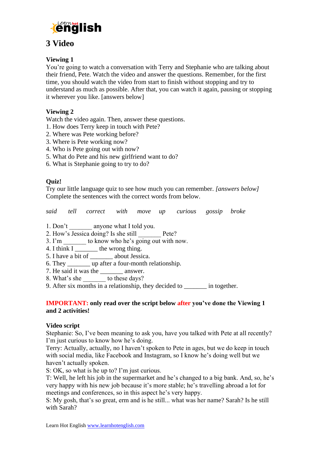

### **3 Video**

#### **Viewing 1**

You're going to watch a conversation with Terry and Stephanie who are talking about their friend, Pete. Watch the video and answer the questions. Remember, for the first time, you should watch the video from start to finish without stopping and try to understand as much as possible. After that, you can watch it again, pausing or stopping it wherever you like. [answers below]

#### **Viewing 2**

Watch the video again. Then, answer these questions.

- 1. How does Terry keep in touch with Pete?
- 2. Where was Pete working before?
- 3. Where is Pete working now?
- 4. Who is Pete going out with now?
- 5. What do Pete and his new girlfriend want to do?
- 6. What is Stephanie going to try to do?

#### **Quiz!**

Try our little language quiz to see how much you can remember. *[answers below]* Complete the sentences with the correct words from below.

*said tell correct with move up curious gossip broke*

- 1. Don't \_\_\_\_\_\_\_\_ anyone what I told you.
- 2. How's Jessica doing? Is she still \_\_\_\_\_\_\_ Pete?
- 3. I'm  $\frac{1}{2}$  to know who he's going out with now.
- 4. I think  $I$  \_\_\_\_\_\_\_\_\_ the wrong thing.
- 5. I have a bit of about Jessica.
- 6. They \_\_\_\_\_\_\_ up after a four-month relationship.
- 7. He said it was the \_\_\_\_\_\_\_\_\_ answer.
- 8. What's she \_\_\_\_\_\_\_ to these days?
- 9. After six months in a relationship, they decided to \_\_\_\_\_\_\_ in together.

#### **IMPORTANT: only read over the script below after you've done the Viewing 1 and 2 activities!**

#### **Video script**

Stephanie: So, I've been meaning to ask you, have you talked with Pete at all recently? I'm just curious to know how he's doing.

Terry: Actually, actually, no I haven't spoken to Pete in ages, but we do keep in touch with social media, like Facebook and Instagram, so I know he's doing well but we haven't actually spoken.

S: OK, so what is he up to? I'm just curious.

T: Well, he left his job in the supermarket and he's changed to a big bank. And, so, he's very happy with his new job because it's more stable; he's travelling abroad a lot for meetings and conferences, so in this aspect he's very happy.

S: My gosh, that's so great, erm and is he still... what was her name? Sarah? Is he still with Sarah?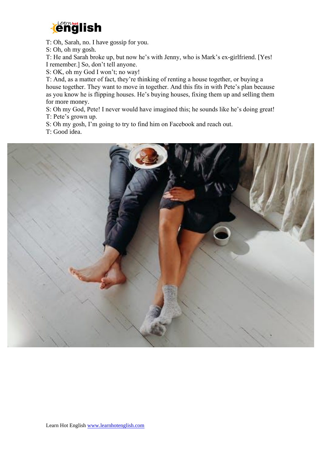

T: Oh, Sarah, no. I have gossip for you.

S: Oh, oh my gosh.

T: He and Sarah broke up, but now he's with Jenny, who is Mark's ex-girlfriend. [Yes! I remember.] So, don't tell anyone.

S: OK, oh my God I won't; no way!

T: And, as a matter of fact, they're thinking of renting a house together, or buying a house together. They want to move in together. And this fits in with Pete's plan because as you know he is flipping houses. He's buying houses, fixing them up and selling them for more money.

S: Oh my God, Pete! I never would have imagined this; he sounds like he's doing great! T: Pete's grown up.

S: Oh my gosh, I'm going to try to find him on Facebook and reach out.

T: Good idea.